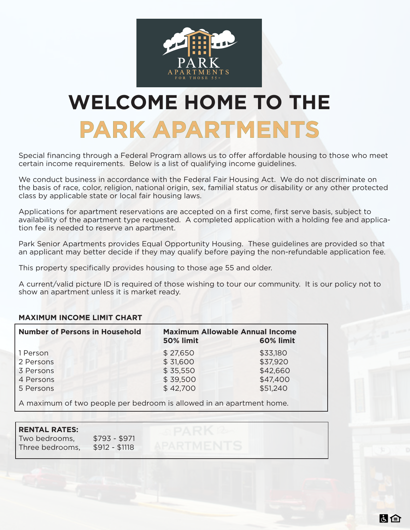

# **WELCOME HOME TO THE PARK APARTMENTS**

Special financing through a Federal Program allows us to offer affordable housing to those who meet certain income requirements. Below is a list of qualifying income guidelines.

We conduct business in accordance with the Federal Fair Housing Act. We do not discriminate on the basis of race, color, religion, national origin, sex, familial status or disability or any other protected class by applicable state or local fair housing laws.

Applications for apartment reservations are accepted on a first come, first serve basis, subject to availability of the apartment type requested. A completed application with a holding fee and application fee is needed to reserve an apartment.

Park Senior Apartments provides Equal Opportunity Housing. These guidelines are provided so that an applicant may better decide if they may qualify before paying the non-refundable application fee.

This property specifically provides housing to those age 55 and older.

A current/valid picture ID is required of those wishing to tour our community. It is our policy not to show an apartment unless it is market ready.

高白

## **MAXIMUM INCOME LIMIT CHART**

| <b>Number of Persons in Household</b> | <b>Maximum Allowable Annual Income</b><br><b>50% limit</b> | 60% limit |
|---------------------------------------|------------------------------------------------------------|-----------|
| 1 Person                              | \$27,650                                                   | \$33,180  |
| 2 Persons                             | \$31,600                                                   | \$37,920  |
| 3 Persons                             | \$35,550                                                   | \$42,660  |
| 4 Persons                             | \$39,500                                                   | \$47,400  |
| 5 Persons                             | \$42,700                                                   | \$51,240  |

A maximum of two people per bedroom is allowed in an apartment home.

## **RENTAL RATES:**

Two bedrooms, \$793 - \$971 Three bedrooms, \$912 - \$1118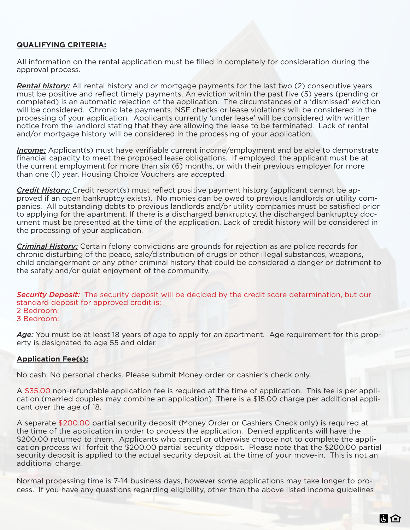### **QUALIFYING CRITERIA:**

All information on the rental application must be filled in completely for consideration during the approval process.

*Rental history:* All rental history and or mortgage payments for the last two (2) consecutive years must be positive and reflect timely payments. An eviction within the past five (5) years (pending or completed) is an automatic rejection of the application. The circumstances of a 'dismissed' eviction will be considered. Chronic late payments, NSF checks or lease violations will be considered in the processing of your application. Applicants currently 'under lease' will be considered with written notice from the landlord stating that they are allowing the lease to be terminated. Lack of rental and/or mortgage history will be considered in the processing of your application.

*Income:* Applicant(s) must have verifiable current income/employment and be able to demonstrate financial capacity to meet the proposed lease obligations. If employed, the applicant must be at the current employment for more than six (6) months, or with their previous employer for more than one (1) year. Housing Choice Vouchers are accepted

*Credit History:* Credit report(s) must reflect positive payment history (applicant cannot be approved if an open bankruptcy exists). No monies can be owed to previous landlords or utility companies. All outstanding debts to previous landlords and/or utility companies must be satisfied prior to applying for the apartment. If there is a discharged bankruptcy, the discharged bankruptcy document must be presented at the time of the application. Lack of credit history will be considered in the processing of your application.

*Criminal History:* Certain felony convictions are grounds for rejection as are police records for chronic disturbing of the peace, sale/distribution of drugs or other illegal substances, weapons, child endangerment or any other criminal history that could be considered a danger or detriment to the safety and/or quiet enjoyment of the community.

**Security Deposit:** The security deposit will be decided by the credit score determination, but our standard deposit for approved credit is: 2 Bedroom: 3 Bedroom:

Age: You must be at least 18 years of age to apply for an apartment. Age requirement for this property is designated to age 55 and older.

#### **Application Fee(s):**

No cash. No personal checks. Please submit Money order or cashier's check only.

A \$35.00 non-refundable application fee is required at the time of application. This fee is per application (married couples may combine an application). There is a \$15.00 charge per additional applicant over the age of 18.

A separate \$200.00 partial security deposit (Money Order or Cashiers Check only) is required at the time of the application in order to process the application. Denied applicants will have the \$200.00 returned to them. Applicants who cancel or otherwise choose not to complete the application process will forfeit the \$200.00 partial security deposit. Please note that the \$200.00 partial security deposit is applied to the actual security deposit at the time of your move-in. This is not an additional charge.

Normal processing time is 7-14 business days, however some applications may take longer to process. If you have any questions regarding eligibility, other than the above listed income guidelines